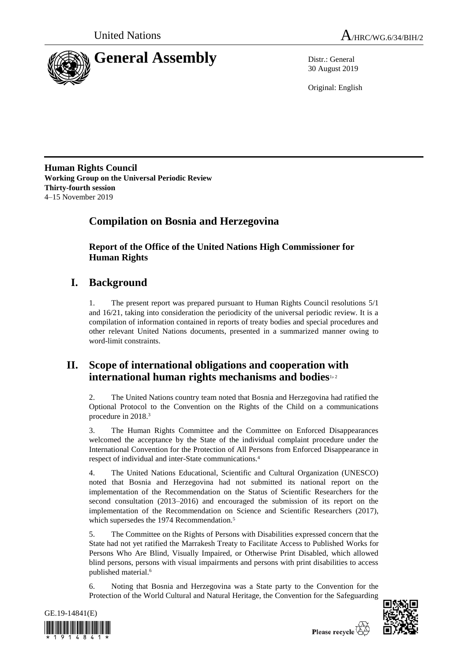



30 August 2019

Original: English

**Human Rights Council Working Group on the Universal Periodic Review Thirty-fourth session** 4–15 November 2019

# **Compilation on Bosnia and Herzegovina**

**Report of the Office of the United Nations High Commissioner for Human Rights**

# **I. Background**

1. The present report was prepared pursuant to Human Rights Council resolutions 5/1 and 16/21, taking into consideration the periodicity of the universal periodic review. It is a compilation of information contained in reports of treaty bodies and special procedures and other relevant United Nations documents, presented in a summarized manner owing to word-limit constraints.

# **II. Scope of international obligations and cooperation with international human rights mechanisms and bodies**1, <sup>2</sup>

2. The United Nations country team noted that Bosnia and Herzegovina had ratified the Optional Protocol to the Convention on the Rights of the Child on a communications procedure in 2018.<sup>3</sup>

3. The Human Rights Committee and the Committee on Enforced Disappearances welcomed the acceptance by the State of the individual complaint procedure under the International Convention for the Protection of All Persons from Enforced Disappearance in respect of individual and inter-State communications.<sup>4</sup>

4. The United Nations Educational, Scientific and Cultural Organization (UNESCO) noted that Bosnia and Herzegovina had not submitted its national report on the implementation of the Recommendation on the Status of Scientific Researchers for the second consultation (2013–2016) and encouraged the submission of its report on the implementation of the Recommendation on Science and Scientific Researchers (2017), which supersedes the 1974 Recommendation.<sup>5</sup>

5. The Committee on the Rights of Persons with Disabilities expressed concern that the State had not yet ratified the Marrakesh Treaty to Facilitate Access to Published Works for Persons Who Are Blind, Visually Impaired, or Otherwise Print Disabled, which allowed blind persons, persons with visual impairments and persons with print disabilities to access published material.<sup>6</sup>

6. Noting that Bosnia and Herzegovina was a State party to the Convention for the Protection of the World Cultural and Natural Heritage, the Convention for the Safeguarding



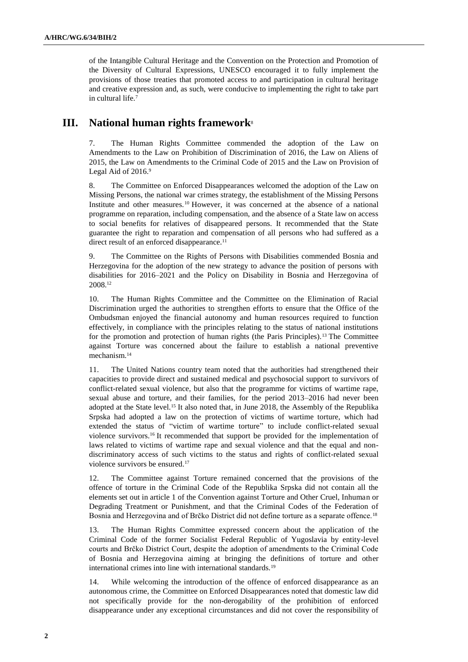of the Intangible Cultural Heritage and the Convention on the Protection and Promotion of the Diversity of Cultural Expressions, UNESCO encouraged it to fully implement the provisions of those treaties that promoted access to and participation in cultural heritage and creative expression and, as such, were conducive to implementing the right to take part in cultural life.<sup>7</sup>

# **III. National human rights framework**<sup>8</sup>

7. The Human Rights Committee commended the adoption of the Law on Amendments to the Law on Prohibition of Discrimination of 2016, the Law on Aliens of 2015, the Law on Amendments to the Criminal Code of 2015 and the Law on Provision of Legal Aid of 2016.9

8. The Committee on Enforced Disappearances welcomed the adoption of the Law on Missing Persons, the national war crimes strategy, the establishment of the Missing Persons Institute and other measures. <sup>10</sup> However, it was concerned at the absence of a national programme on reparation, including compensation, and the absence of a State law on access to social benefits for relatives of disappeared persons. It recommended that the State guarantee the right to reparation and compensation of all persons who had suffered as a direct result of an enforced disappearance.<sup>11</sup>

9. The Committee on the Rights of Persons with Disabilities commended Bosnia and Herzegovina for the adoption of the new strategy to advance the position of persons with disabilities for 2016–2021 and the Policy on Disability in Bosnia and Herzegovina of 2008.<sup>12</sup>

10. The Human Rights Committee and the Committee on the Elimination of Racial Discrimination urged the authorities to strengthen efforts to ensure that the Office of the Ombudsman enjoyed the financial autonomy and human resources required to function effectively, in compliance with the principles relating to the status of national institutions for the promotion and protection of human rights (the Paris Principles).<sup>13</sup> The Committee against Torture was concerned about the failure to establish a national preventive mechanism.<sup>14</sup>

11. The United Nations country team noted that the authorities had strengthened their capacities to provide direct and sustained medical and psychosocial support to survivors of conflict-related sexual violence, but also that the programme for victims of wartime rape, sexual abuse and torture, and their families, for the period 2013–2016 had never been adopted at the State level.<sup>15</sup> It also noted that, in June 2018, the Assembly of the Republika Srpska had adopted a law on the protection of victims of wartime torture, which had extended the status of "victim of wartime torture" to include conflict-related sexual violence survivors.<sup>16</sup> It recommended that support be provided for the implementation of laws related to victims of wartime rape and sexual violence and that the equal and nondiscriminatory access of such victims to the status and rights of conflict-related sexual violence survivors be ensured.<sup>17</sup>

12. The Committee against Torture remained concerned that the provisions of the offence of torture in the Criminal Code of the Republika Srpska did not contain all the elements set out in article 1 of the Convention against Torture and Other Cruel, Inhuman or Degrading Treatment or Punishment, and that the Criminal Codes of the Federation of Bosnia and Herzegovina and of Brčko District did not define torture as a separate offence.<sup>18</sup>

13. The Human Rights Committee expressed concern about the application of the Criminal Code of the former Socialist Federal Republic of Yugoslavia by entity-level courts and Brčko District Court, despite the adoption of amendments to the Criminal Code of Bosnia and Herzegovina aiming at bringing the definitions of torture and other international crimes into line with international standards.<sup>19</sup>

14. While welcoming the introduction of the offence of enforced disappearance as an autonomous crime, the Committee on Enforced Disappearances noted that domestic law did not specifically provide for the non-derogability of the prohibition of enforced disappearance under any exceptional circumstances and did not cover the responsibility of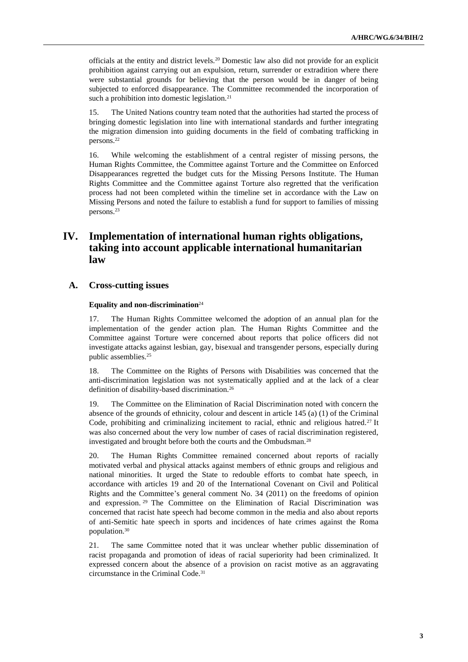officials at the entity and district levels.<sup>20</sup> Domestic law also did not provide for an explicit prohibition against carrying out an expulsion, return, surrender or extradition where there were substantial grounds for believing that the person would be in danger of being subjected to enforced disappearance. The Committee recommended the incorporation of such a prohibition into domestic legislation.<sup>21</sup>

15. The United Nations country team noted that the authorities had started the process of bringing domestic legislation into line with international standards and further integrating the migration dimension into guiding documents in the field of combating trafficking in persons.<sup>22</sup>

16. While welcoming the establishment of a central register of missing persons, the Human Rights Committee, the Committee against Torture and the Committee on Enforced Disappearances regretted the budget cuts for the Missing Persons Institute. The Human Rights Committee and the Committee against Torture also regretted that the verification process had not been completed within the timeline set in accordance with the Law on Missing Persons and noted the failure to establish a fund for support to families of missing persons.<sup>23</sup>

# **IV. Implementation of international human rights obligations, taking into account applicable international humanitarian law**

## **A. Cross-cutting issues**

#### **Equality and non-discrimination**<sup>24</sup>

17. The Human Rights Committee welcomed the adoption of an annual plan for the implementation of the gender action plan. The Human Rights Committee and the Committee against Torture were concerned about reports that police officers did not investigate attacks against lesbian, gay, bisexual and transgender persons, especially during public assemblies.<sup>25</sup>

18. The Committee on the Rights of Persons with Disabilities was concerned that the anti-discrimination legislation was not systematically applied and at the lack of a clear definition of disability-based discrimination.<sup>26</sup>

19. The Committee on the Elimination of Racial Discrimination noted with concern the absence of the grounds of ethnicity, colour and descent in article 145 (a) (1) of the Criminal Code, prohibiting and criminalizing incitement to racial, ethnic and religious hatred.<sup>27</sup> It was also concerned about the very low number of cases of racial discrimination registered, investigated and brought before both the courts and the Ombudsman.<sup>28</sup>

20. The Human Rights Committee remained concerned about reports of racially motivated verbal and physical attacks against members of ethnic groups and religious and national minorities. It urged the State to redouble efforts to combat hate speech, in accordance with articles 19 and 20 of the International Covenant on Civil and Political Rights and the Committee's general comment No. 34 (2011) on the freedoms of opinion and expression. <sup>29</sup> The Committee on the Elimination of Racial Discrimination was concerned that racist hate speech had become common in the media and also about reports of anti-Semitic hate speech in sports and incidences of hate crimes against the Roma population.<sup>30</sup>

21. The same Committee noted that it was unclear whether public dissemination of racist propaganda and promotion of ideas of racial superiority had been criminalized. It expressed concern about the absence of a provision on racist motive as an aggravating circumstance in the Criminal Code.31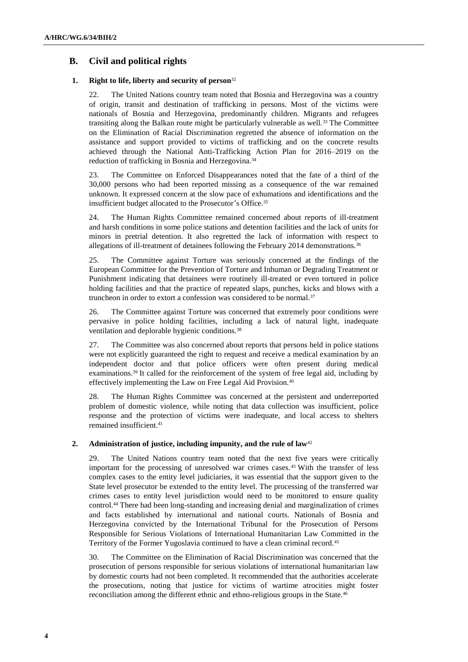## **B. Civil and political rights**

### **1. Right to life, liberty and security of person**<sup>32</sup>

22. The United Nations country team noted that Bosnia and Herzegovina was a country of origin, transit and destination of trafficking in persons. Most of the victims were nationals of Bosnia and Herzegovina, predominantly children. Migrants and refugees transiting along the Balkan route might be particularly vulnerable as well.<sup>33</sup> The Committee on the Elimination of Racial Discrimination regretted the absence of information on the assistance and support provided to victims of trafficking and on the concrete results achieved through the National Anti-Trafficking Action Plan for 2016–2019 on the reduction of trafficking in Bosnia and Herzegovina.<sup>34</sup>

23. The Committee on Enforced Disappearances noted that the fate of a third of the 30,000 persons who had been reported missing as a consequence of the war remained unknown. It expressed concern at the slow pace of exhumations and identifications and the insufficient budget allocated to the Prosecutor's Office.<sup>35</sup>

24. The Human Rights Committee remained concerned about reports of ill-treatment and harsh conditions in some police stations and detention facilities and the lack of units for minors in pretrial detention. It also regretted the lack of information with respect to allegations of ill-treatment of detainees following the February 2014 demonstrations.<sup>36</sup>

25. The Committee against Torture was seriously concerned at the findings of the European Committee for the Prevention of Torture and Inhuman or Degrading Treatment or Punishment indicating that detainees were routinely ill-treated or even tortured in police holding facilities and that the practice of repeated slaps, punches, kicks and blows with a truncheon in order to extort a confession was considered to be normal.<sup>37</sup>

26. The Committee against Torture was concerned that extremely poor conditions were pervasive in police holding facilities, including a lack of natural light, inadequate ventilation and deplorable hygienic conditions.<sup>38</sup>

27. The Committee was also concerned about reports that persons held in police stations were not explicitly guaranteed the right to request and receive a medical examination by an independent doctor and that police officers were often present during medical examinations.<sup>39</sup> It called for the reinforcement of the system of free legal aid, including by effectively implementing the Law on Free Legal Aid Provision.<sup>40</sup>

28. The Human Rights Committee was concerned at the persistent and underreported problem of domestic violence, while noting that data collection was insufficient, police response and the protection of victims were inadequate, and local access to shelters remained insufficient.<sup>41</sup>

## **2. Administration of justice, including impunity, and the rule of law**<sup>42</sup>

29. The United Nations country team noted that the next five years were critically important for the processing of unresolved war crimes cases.<sup>43</sup> With the transfer of less complex cases to the entity level judiciaries, it was essential that the support given to the State level prosecutor be extended to the entity level. The processing of the transferred war crimes cases to entity level jurisdiction would need to be monitored to ensure quality control.<sup>44</sup> There had been long-standing and increasing denial and marginalization of crimes and facts established by international and national courts. Nationals of Bosnia and Herzegovina convicted by the International Tribunal for the Prosecution of Persons Responsible for Serious Violations of International Humanitarian Law Committed in the Territory of the Former Yugoslavia continued to have a clean criminal record.<sup>45</sup>

30. The Committee on the Elimination of Racial Discrimination was concerned that the prosecution of persons responsible for serious violations of international humanitarian law by domestic courts had not been completed. It recommended that the authorities accelerate the prosecutions, noting that justice for victims of wartime atrocities might foster reconciliation among the different ethnic and ethno-religious groups in the State.46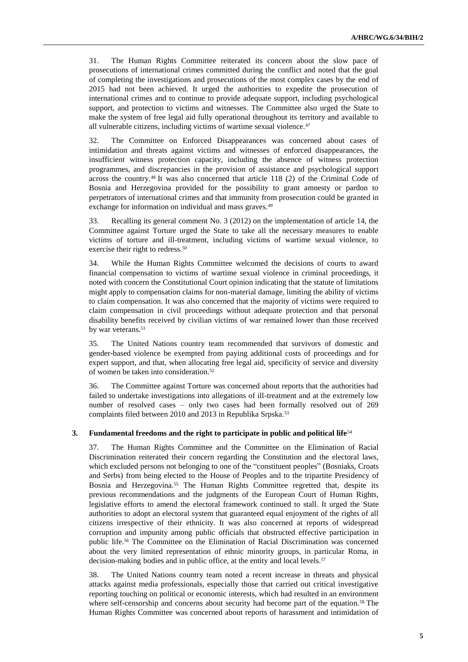31. The Human Rights Committee reiterated its concern about the slow pace of prosecutions of international crimes committed during the conflict and noted that the goal of completing the investigations and prosecutions of the most complex cases by the end of 2015 had not been achieved. It urged the authorities to expedite the prosecution of international crimes and to continue to provide adequate support, including psychological support, and protection to victims and witnesses. The Committee also urged the State to make the system of free legal aid fully operational throughout its territory and available to all vulnerable citizens, including victims of wartime sexual violence.<sup>47</sup>

32. The Committee on Enforced Disappearances was concerned about cases of intimidation and threats against victims and witnesses of enforced disappearances, the insufficient witness protection capacity, including the absence of witness protection programmes, and discrepancies in the provision of assistance and psychological support across the country.<sup>48</sup> It was also concerned that article 118 (2) of the Criminal Code of Bosnia and Herzegovina provided for the possibility to grant amnesty or pardon to perpetrators of international crimes and that immunity from prosecution could be granted in exchange for information on individual and mass graves.<sup>49</sup>

33. Recalling its general comment No. 3 (2012) on the implementation of article 14, the Committee against Torture urged the State to take all the necessary measures to enable victims of torture and ill-treatment, including victims of wartime sexual violence, to exercise their right to redress.<sup>50</sup>

34. While the Human Rights Committee welcomed the decisions of courts to award financial compensation to victims of wartime sexual violence in criminal proceedings, it noted with concern the Constitutional Court opinion indicating that the statute of limitations might apply to compensation claims for non-material damage, limiting the ability of victims to claim compensation. It was also concerned that the majority of victims were required to claim compensation in civil proceedings without adequate protection and that personal disability benefits received by civilian victims of war remained lower than those received by war veterans.<sup>51</sup>

35. The United Nations country team recommended that survivors of domestic and gender-based violence be exempted from paying additional costs of proceedings and for expert support, and that, when allocating free legal aid, specificity of service and diversity of women be taken into consideration.<sup>52</sup>

36. The Committee against Torture was concerned about reports that the authorities had failed to undertake investigations into allegations of ill-treatment and at the extremely low number of resolved cases – only two cases had been formally resolved out of 269 complaints filed between 2010 and 2013 in Republika Srpska.<sup>53</sup>

## **3. Fundamental freedoms and the right to participate in public and political life**<sup>54</sup>

37. The Human Rights Committee and the Committee on the Elimination of Racial Discrimination reiterated their concern regarding the Constitution and the electoral laws, which excluded persons not belonging to one of the "constituent peoples" (Bosniaks, Croats and Serbs) from being elected to the House of Peoples and to the tripartite Presidency of Bosnia and Herzegovina.<sup>55</sup> The Human Rights Committee regretted that, despite its previous recommendations and the judgments of the European Court of Human Rights, legislative efforts to amend the electoral framework continued to stall. It urged the State authorities to adopt an electoral system that guaranteed equal enjoyment of the rights of all citizens irrespective of their ethnicity. It was also concerned at reports of widespread corruption and impunity among public officials that obstructed effective participation in public life.<sup>56</sup> The Committee on the Elimination of Racial Discrimination was concerned about the very limited representation of ethnic minority groups, in particular Roma, in decision-making bodies and in public office, at the entity and local levels.<sup>57</sup>

38. The United Nations country team noted a recent increase in threats and physical attacks against media professionals, especially those that carried out critical investigative reporting touching on political or economic interests, which had resulted in an environment where self-censorship and concerns about security had become part of the equation.<sup>58</sup> The Human Rights Committee was concerned about reports of harassment and intimidation of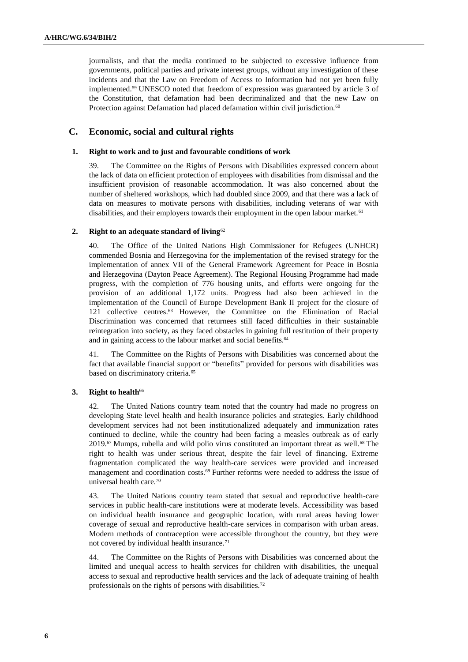journalists, and that the media continued to be subjected to excessive influence from governments, political parties and private interest groups, without any investigation of these incidents and that the Law on Freedom of Access to Information had not yet been fully implemented.<sup>59</sup> UNESCO noted that freedom of expression was guaranteed by article 3 of the Constitution, that defamation had been decriminalized and that the new Law on Protection against Defamation had placed defamation within civil jurisdiction.<sup>60</sup>

## **C. Economic, social and cultural rights**

#### **1. Right to work and to just and favourable conditions of work**

39. The Committee on the Rights of Persons with Disabilities expressed concern about the lack of data on efficient protection of employees with disabilities from dismissal and the insufficient provision of reasonable accommodation. It was also concerned about the number of sheltered workshops, which had doubled since 2009, and that there was a lack of data on measures to motivate persons with disabilities, including veterans of war with disabilities, and their employers towards their employment in the open labour market.<sup>61</sup>

## **2. Right to an adequate standard of living**<sup>62</sup>

40. The Office of the United Nations High Commissioner for Refugees (UNHCR) commended Bosnia and Herzegovina for the implementation of the revised strategy for the implementation of annex VII of the General Framework Agreement for Peace in Bosnia and Herzegovina (Dayton Peace Agreement). The Regional Housing Programme had made progress, with the completion of 776 housing units, and efforts were ongoing for the provision of an additional 1,172 units. Progress had also been achieved in the implementation of the Council of Europe Development Bank II project for the closure of 121 collective centres.<sup>63</sup> However, the Committee on the Elimination of Racial Discrimination was concerned that returnees still faced difficulties in their sustainable reintegration into society, as they faced obstacles in gaining full restitution of their property and in gaining access to the labour market and social benefits.<sup>64</sup>

41. The Committee on the Rights of Persons with Disabilities was concerned about the fact that available financial support or "benefits" provided for persons with disabilities was based on discriminatory criteria.<sup>65</sup>

## **3. Right to health**<sup>66</sup>

42. The United Nations country team noted that the country had made no progress on developing State level health and health insurance policies and strategies. Early childhood development services had not been institutionalized adequately and immunization rates continued to decline, while the country had been facing a measles outbreak as of early 2019.<sup>67</sup> Mumps, rubella and wild polio virus constituted an important threat as well.<sup>68</sup> The right to health was under serious threat, despite the fair level of financing. Extreme fragmentation complicated the way health-care services were provided and increased management and coordination costs.<sup>69</sup> Further reforms were needed to address the issue of universal health care.<sup>70</sup>

43. The United Nations country team stated that sexual and reproductive health-care services in public health-care institutions were at moderate levels. Accessibility was based on individual health insurance and geographic location, with rural areas having lower coverage of sexual and reproductive health-care services in comparison with urban areas. Modern methods of contraception were accessible throughout the country, but they were not covered by individual health insurance.<sup>71</sup>

44. The Committee on the Rights of Persons with Disabilities was concerned about the limited and unequal access to health services for children with disabilities, the unequal access to sexual and reproductive health services and the lack of adequate training of health professionals on the rights of persons with disabilities.72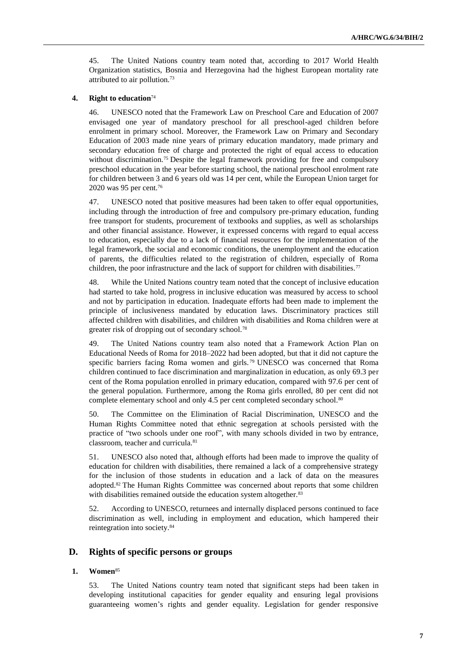45. The United Nations country team noted that, according to 2017 World Health Organization statistics, Bosnia and Herzegovina had the highest European mortality rate attributed to air pollution.<sup>73</sup>

### **4. Right to education**<sup>74</sup>

46. UNESCO noted that the Framework Law on Preschool Care and Education of 2007 envisaged one year of mandatory preschool for all preschool-aged children before enrolment in primary school. Moreover, the Framework Law on Primary and Secondary Education of 2003 made nine years of primary education mandatory, made primary and secondary education free of charge and protected the right of equal access to education without discrimination.<sup>75</sup> Despite the legal framework providing for free and compulsory preschool education in the year before starting school, the national preschool enrolment rate for children between 3 and 6 years old was 14 per cent, while the European Union target for 2020 was 95 per cent.<sup>76</sup>

47. UNESCO noted that positive measures had been taken to offer equal opportunities, including through the introduction of free and compulsory pre-primary education, funding free transport for students, procurement of textbooks and supplies, as well as scholarships and other financial assistance. However, it expressed concerns with regard to equal access to education, especially due to a lack of financial resources for the implementation of the legal framework, the social and economic conditions, the unemployment and the education of parents, the difficulties related to the registration of children, especially of Roma children, the poor infrastructure and the lack of support for children with disabilities.<sup>77</sup>

48. While the United Nations country team noted that the concept of inclusive education had started to take hold, progress in inclusive education was measured by access to school and not by participation in education. Inadequate efforts had been made to implement the principle of inclusiveness mandated by education laws. Discriminatory practices still affected children with disabilities, and children with disabilities and Roma children were at greater risk of dropping out of secondary school.<sup>78</sup>

49. The United Nations country team also noted that a Framework Action Plan on Educational Needs of Roma for 2018–2022 had been adopted, but that it did not capture the specific barriers facing Roma women and girls.<sup>79</sup> UNESCO was concerned that Roma children continued to face discrimination and marginalization in education, as only 69.3 per cent of the Roma population enrolled in primary education, compared with 97.6 per cent of the general population. Furthermore, among the Roma girls enrolled, 80 per cent did not complete elementary school and only 4.5 per cent completed secondary school.<sup>80</sup>

50. The Committee on the Elimination of Racial Discrimination, UNESCO and the Human Rights Committee noted that ethnic segregation at schools persisted with the practice of "two schools under one roof", with many schools divided in two by entrance, classroom, teacher and curricula.<sup>81</sup>

51. UNESCO also noted that, although efforts had been made to improve the quality of education for children with disabilities, there remained a lack of a comprehensive strategy for the inclusion of those students in education and a lack of data on the measures adopted.<sup>82</sup> The Human Rights Committee was concerned about reports that some children with disabilities remained outside the education system altogether.<sup>83</sup>

52. According to UNESCO, returnees and internally displaced persons continued to face discrimination as well, including in employment and education, which hampered their reintegration into society.<sup>84</sup>

## **D. Rights of specific persons or groups**

#### **1. Women**<sup>85</sup>

53. The United Nations country team noted that significant steps had been taken in developing institutional capacities for gender equality and ensuring legal provisions guaranteeing women's rights and gender equality. Legislation for gender responsive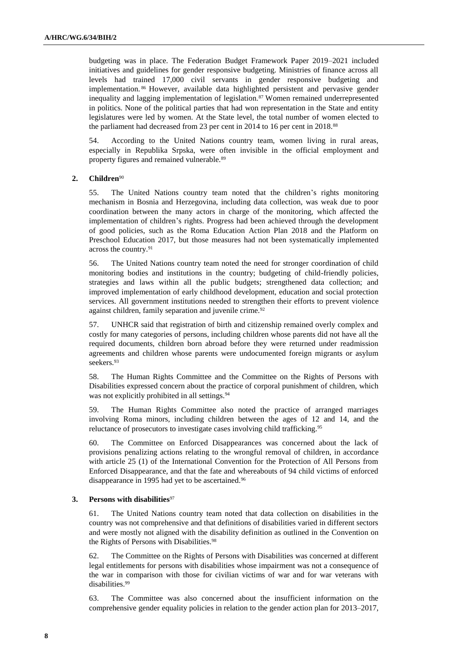budgeting was in place. The Federation Budget Framework Paper 2019–2021 included initiatives and guidelines for gender responsive budgeting. Ministries of finance across all levels had trained 17,000 civil servants in gender responsive budgeting and implementation. <sup>86</sup> However, available data highlighted persistent and pervasive gender inequality and lagging implementation of legislation.<sup>87</sup> Women remained underrepresented in politics. None of the political parties that had won representation in the State and entity legislatures were led by women. At the State level, the total number of women elected to the parliament had decreased from 23 per cent in 2014 to 16 per cent in 2018.<sup>88</sup>

54. According to the United Nations country team, women living in rural areas, especially in Republika Srpska, were often invisible in the official employment and property figures and remained vulnerable.<sup>89</sup>

## **2. Children**<sup>90</sup>

55. The United Nations country team noted that the children's rights monitoring mechanism in Bosnia and Herzegovina, including data collection, was weak due to poor coordination between the many actors in charge of the monitoring, which affected the implementation of children's rights. Progress had been achieved through the development of good policies, such as the Roma Education Action Plan 2018 and the Platform on Preschool Education 2017, but those measures had not been systematically implemented across the country.<sup>91</sup>

56. The United Nations country team noted the need for stronger coordination of child monitoring bodies and institutions in the country; budgeting of child-friendly policies, strategies and laws within all the public budgets; strengthened data collection; and improved implementation of early childhood development, education and social protection services. All government institutions needed to strengthen their efforts to prevent violence against children, family separation and juvenile crime.<sup>92</sup>

57. UNHCR said that registration of birth and citizenship remained overly complex and costly for many categories of persons, including children whose parents did not have all the required documents, children born abroad before they were returned under readmission agreements and children whose parents were undocumented foreign migrants or asylum seekers.<sup>93</sup>

58. The Human Rights Committee and the Committee on the Rights of Persons with Disabilities expressed concern about the practice of corporal punishment of children, which was not explicitly prohibited in all settings.<sup>94</sup>

59. The Human Rights Committee also noted the practice of arranged marriages involving Roma minors, including children between the ages of 12 and 14, and the reluctance of prosecutors to investigate cases involving child trafficking.<sup>95</sup>

60. The Committee on Enforced Disappearances was concerned about the lack of provisions penalizing actions relating to the wrongful removal of children, in accordance with article 25 (1) of the International Convention for the Protection of All Persons from Enforced Disappearance, and that the fate and whereabouts of 94 child victims of enforced disappearance in 1995 had yet to be ascertained.<sup>96</sup>

### **3. Persons with disabilities**<sup>97</sup>

61. The United Nations country team noted that data collection on disabilities in the country was not comprehensive and that definitions of disabilities varied in different sectors and were mostly not aligned with the disability definition as outlined in the Convention on the Rights of Persons with Disabilities.<sup>98</sup>

62. The Committee on the Rights of Persons with Disabilities was concerned at different legal entitlements for persons with disabilities whose impairment was not a consequence of the war in comparison with those for civilian victims of war and for war veterans with disabilities.<sup>99</sup>

63. The Committee was also concerned about the insufficient information on the comprehensive gender equality policies in relation to the gender action plan for 2013–2017,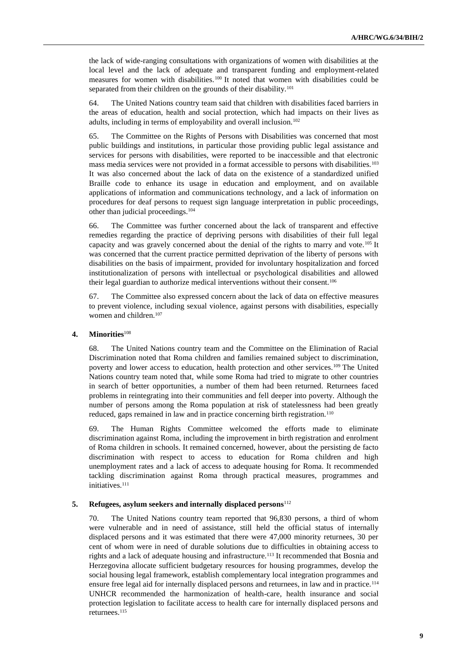the lack of wide-ranging consultations with organizations of women with disabilities at the local level and the lack of adequate and transparent funding and employment-related measures for women with disabilities. <sup>100</sup> It noted that women with disabilities could be separated from their children on the grounds of their disability.<sup>101</sup>

64. The United Nations country team said that children with disabilities faced barriers in the areas of education, health and social protection, which had impacts on their lives as adults, including in terms of employability and overall inclusion.<sup>102</sup>

65. The Committee on the Rights of Persons with Disabilities was concerned that most public buildings and institutions, in particular those providing public legal assistance and services for persons with disabilities, were reported to be inaccessible and that electronic mass media services were not provided in a format accessible to persons with disabilities.<sup>103</sup> It was also concerned about the lack of data on the existence of a standardized unified Braille code to enhance its usage in education and employment, and on available applications of information and communications technology, and a lack of information on procedures for deaf persons to request sign language interpretation in public proceedings, other than judicial proceedings.<sup>104</sup>

66. The Committee was further concerned about the lack of transparent and effective remedies regarding the practice of depriving persons with disabilities of their full legal capacity and was gravely concerned about the denial of the rights to marry and vote.<sup>105</sup> It was concerned that the current practice permitted deprivation of the liberty of persons with disabilities on the basis of impairment, provided for involuntary hospitalization and forced institutionalization of persons with intellectual or psychological disabilities and allowed their legal guardian to authorize medical interventions without their consent.<sup>106</sup>

67. The Committee also expressed concern about the lack of data on effective measures to prevent violence, including sexual violence, against persons with disabilities, especially women and children.<sup>107</sup>

#### **4. Minorities**<sup>108</sup>

68. The United Nations country team and the Committee on the Elimination of Racial Discrimination noted that Roma children and families remained subject to discrimination, poverty and lower access to education, health protection and other services.<sup>109</sup> The United Nations country team noted that, while some Roma had tried to migrate to other countries in search of better opportunities, a number of them had been returned. Returnees faced problems in reintegrating into their communities and fell deeper into poverty. Although the number of persons among the Roma population at risk of statelessness had been greatly reduced, gaps remained in law and in practice concerning birth registration.<sup>110</sup>

69. The Human Rights Committee welcomed the efforts made to eliminate discrimination against Roma, including the improvement in birth registration and enrolment of Roma children in schools. It remained concerned, however, about the persisting de facto discrimination with respect to access to education for Roma children and high unemployment rates and a lack of access to adequate housing for Roma. It recommended tackling discrimination against Roma through practical measures, programmes and initiatives.<sup>111</sup>

#### **5. Refugees, asylum seekers and internally displaced persons**<sup>112</sup>

70. The United Nations country team reported that 96,830 persons, a third of whom were vulnerable and in need of assistance, still held the official status of internally displaced persons and it was estimated that there were 47,000 minority returnees, 30 per cent of whom were in need of durable solutions due to difficulties in obtaining access to rights and a lack of adequate housing and infrastructure.<sup>113</sup> It recommended that Bosnia and Herzegovina allocate sufficient budgetary resources for housing programmes, develop the social housing legal framework, establish complementary local integration programmes and ensure free legal aid for internally displaced persons and returnees, in law and in practice.<sup>114</sup> UNHCR recommended the harmonization of health-care, health insurance and social protection legislation to facilitate access to health care for internally displaced persons and returnees.<sup>115</sup>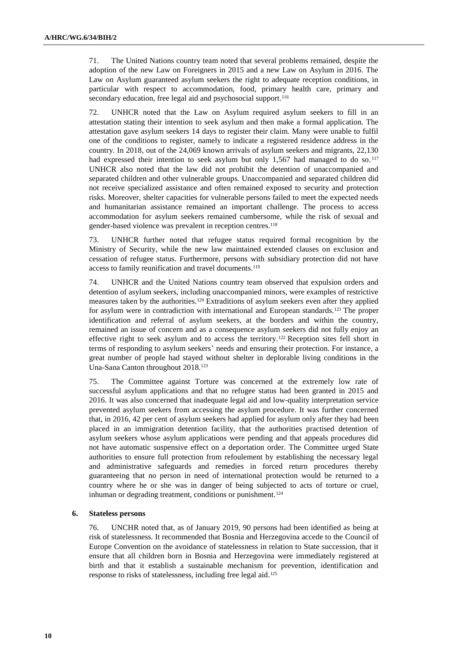71. The United Nations country team noted that several problems remained, despite the adoption of the new Law on Foreigners in 2015 and a new Law on Asylum in 2016. The Law on Asylum guaranteed asylum seekers the right to adequate reception conditions, in particular with respect to accommodation, food, primary health care, primary and secondary education, free legal aid and psychosocial support.<sup>116</sup>

72. UNHCR noted that the Law on Asylum required asylum seekers to fill in an attestation stating their intention to seek asylum and then make a formal application. The attestation gave asylum seekers 14 days to register their claim. Many were unable to fulfil one of the conditions to register, namely to indicate a registered residence address in the country. In 2018, out of the 24,069 known arrivals of asylum seekers and migrants, 22,130 had expressed their intention to seek asylum but only  $1,567$  had managed to do so.  $117$ UNHCR also noted that the law did not prohibit the detention of unaccompanied and separated children and other vulnerable groups. Unaccompanied and separated children did not receive specialized assistance and often remained exposed to security and protection risks. Moreover, shelter capacities for vulnerable persons failed to meet the expected needs and humanitarian assistance remained an important challenge. The process to access accommodation for asylum seekers remained cumbersome, while the risk of sexual and gender-based violence was prevalent in reception centres.<sup>118</sup>

73. UNHCR further noted that refugee status required formal recognition by the Ministry of Security, while the new law maintained extended clauses on exclusion and cessation of refugee status. Furthermore, persons with subsidiary protection did not have access to family reunification and travel documents.<sup>119</sup>

74. UNHCR and the United Nations country team observed that expulsion orders and detention of asylum seekers, including unaccompanied minors, were examples of restrictive measures taken by the authorities.<sup>120</sup> Extraditions of asylum seekers even after they applied for asylum were in contradiction with international and European standards.<sup>121</sup> The proper identification and referral of asylum seekers, at the borders and within the country, remained an issue of concern and as a consequence asylum seekers did not fully enjoy an effective right to seek asylum and to access the territory.<sup>122</sup> Reception sites fell short in terms of responding to asylum seekers' needs and ensuring their protection. For instance, a great number of people had stayed without shelter in deplorable living conditions in the Una-Sana Canton throughout 2018.<sup>123</sup>

75. The Committee against Torture was concerned at the extremely low rate of successful asylum applications and that no refugee status had been granted in 2015 and 2016. It was also concerned that inadequate legal aid and low-quality interpretation service prevented asylum seekers from accessing the asylum procedure. It was further concerned that, in 2016, 42 per cent of asylum seekers had applied for asylum only after they had been placed in an immigration detention facility, that the authorities practised detention of asylum seekers whose asylum applications were pending and that appeals procedures did not have automatic suspensive effect on a deportation order. The Committee urged State authorities to ensure full protection from refoulement by establishing the necessary legal and administrative safeguards and remedies in forced return procedures thereby guaranteeing that no person in need of international protection would be returned to a country where he or she was in danger of being subjected to acts of torture or cruel, inhuman or degrading treatment, conditions or punishment.<sup>124</sup>

#### **6. Stateless persons**

76. UNCHR noted that, as of January 2019, 90 persons had been identified as being at risk of statelessness. It recommended that Bosnia and Herzegovina accede to the Council of Europe Convention on the avoidance of statelessness in relation to State succession, that it ensure that all children born in Bosnia and Herzegovina were immediately registered at birth and that it establish a sustainable mechanism for prevention, identification and response to risks of statelessness, including free legal aid.125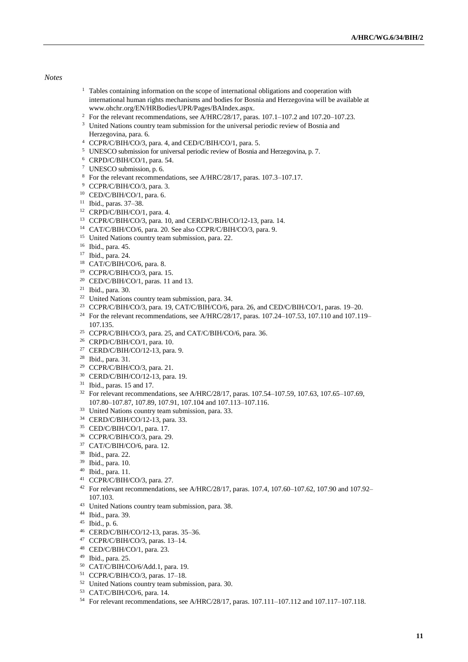#### *Notes*

- <sup>1</sup> Tables containing information on the scope of international obligations and cooperation with international human rights mechanisms and bodies for Bosnia and Herzegovina will be available at [www.ohchr.org/EN/HRBodies/UPR/Pages/BAIndex.aspx.](https://www.ohchr.org/EN/HRBodies/UPR/Pages/BAIndex.aspx)
- <sup>2</sup> For the relevant recommendations, see A/HRC/28/17, paras. 107.1–107.2 and 107.20–107.23.
- <sup>3</sup> United Nations country team submission for the universal periodic review of Bosnia and Herzegovina, para. 6.
- CCPR/C/BIH/CO/3, para. 4, and CED/C/BIH/CO/1, para. 5.
- UNESCO submission for universal periodic review of Bosnia and Herzegovina, p. 7.
- CRPD/C/BIH/CO/1, para. 54.
- UNESCO submission, p. 6.
- For the relevant recommendations, see A/HRC/28/17, paras. 107.3–107.17.
- CCPR/C/BIH/CO/3, para. 3.
- CED/C/BIH/CO/1, para. 6.
- Ibid., paras. 37–38.
- CRPD/C/BIH/CO/1, para. 4.
- CCPR/C/BIH/CO/3, para. 10, and CERD/C/BIH/CO/12-13, para. 14.
- CAT/C/BIH/CO/6, para. 20. See also CCPR/C/BIH/CO/3, para. 9.
- <sup>15</sup> United Nations country team submission, para. 22.
- Ibid., para. 45.
- Ibid., para. 24.
- CAT/C/BIH/CO/6, para. 8.
- CCPR/C/BIH/CO/3, para. 15.
- <sup>20</sup> CED/C/BIH/CO/1, paras. 11 and 13.
- Ibid., para. 30.
- United Nations country team submission, para. 34.
- CCPR/C/BIH/CO/3, para. 19, CAT/C/BIH/CO/6, para. 26, and CED/C/BIH/CO/1, paras. 19–20.
- <sup>24</sup> For the relevant recommendations, see A/HRC/28/17, paras. 107.24–107.53, 107.110 and 107.119– 107.135.
- CCPR/C/BIH/CO/3, para. 25, and CAT/C/BIH/CO/6, para. 36.
- CRPD/C/BIH/CO/1, para. 10.
- CERD/C/BIH/CO/12-13, para. 9.
- Ibid., para. 31.
- CCPR/C/BIH/CO/3, para. 21.
- CERD/C/BIH/CO/12-13, para. 19.
- Ibid., paras. 15 and 17.
- <sup>32</sup> For relevant recommendations, see A/HRC/28/17, paras. 107.54-107.59, 107.63, 107.65-107.69, 107.80–107.87, 107.89, 107.91, 107.104 and 107.113–107.116.
- United Nations country team submission, para. 33.
- CERD/C/BIH/CO/12-13, para. 33.
- CED/C/BIH/CO/1, para. 17.
- CCPR/C/BIH/CO/3, para. 29.
- CAT/C/BIH/CO/6, para. 12.
- Ibid., para. 22.
- Ibid., para. 10.
- Ibid., para. 11.
- CCPR/C/BIH/CO/3, para. 27.
- For relevant recommendations, see A/HRC/28/17, paras. 107.4, 107.60–107.62, 107.90 and 107.92– 107.103.
- United Nations country team submission, para. 38.
- Ibid., para. 39.
- Ibid., p. 6.
- CERD/C/BIH/CO/12-13, paras. 35–36.
- CCPR/C/BIH/CO/3, paras. 13–14.
- CED/C/BIH/CO/1, para. 23.
- Ibid., para. 25.
- CAT/C/BIH/CO/6/Add.1, para. 19.
- CCPR/C/BIH/CO/3, paras. 17–18.
- United Nations country team submission, para. 30.
- CAT/C/BIH/CO/6, para. 14.
- For relevant recommendations, see A/HRC/28/17, paras. 107.111–107.112 and 107.117–107.118.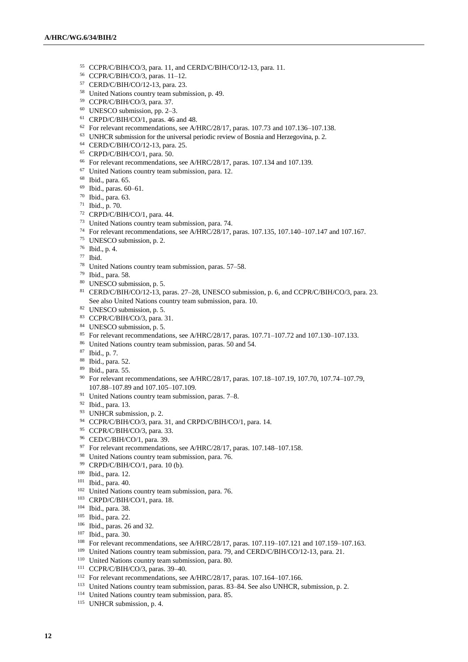- CCPR/C/BIH/CO/3, para. 11, and CERD/C/BIH/CO/12-13, para. 11.
- CCPR/C/BIH/CO/3, paras. 11–12.
- CERD/C/BIH/CO/12-13, para. 23.
- United Nations country team submission, p. 49.
- CCPR/C/BIH/CO/3, para. 37.
- UNESCO submission, pp. 2–3.
- CRPD/C/BIH/CO/1, paras. 46 and 48.
- For relevant recommendations, see A/HRC/28/17, paras. 107.73 and 107.136–107.138.
- UNHCR submission for the universal periodic review of Bosnia and Herzegovina, p. 2.
- CERD/C/BIH/CO/12-13, para. 25.
- CRPD/C/BIH/CO/1, para. 50.
- For relevant recommendations, see A/HRC/28/17, paras. 107.134 and 107.139.
- United Nations country team submission, para. 12.
- Ibid., para. 65.
- Ibid., paras. 60–61.
- Ibid., para. 63.
- Ibid., p. 70.
- CRPD/C/BIH/CO/1, para. 44.
- United Nations country team submission, para. 74.
- For relevant recommendations, see A/HRC/28/17, paras. 107.135, 107.140–107.147 and 107.167.
- UNESCO submission, p. 2.
- Ibid., p. 4.
- Ibid.
- United Nations country team submission, paras. 57–58.
- Ibid., para. 58.
- UNESCO submission, p. 5.
- CERD/C/BIH/CO/12-13, paras. 27–28, UNESCO submission, p. 6, and CCPR/C/BIH/CO/3, para. 23. See also United Nations country team submission, para. 10.
- UNESCO submission, p. 5.
- CCPR/C/BIH/CO/3, para. 31.
- UNESCO submission, p. 5.
- For relevant recommendations, see A/HRC/28/17, paras. 107.71–107.72 and 107.130–107.133.
- United Nations country team submission, paras. 50 and 54.
- Ibid., p. 7.
- Ibid., para. 52.
- Ibid., para. 55.
- For relevant recommendations, see A/HRC/28/17, paras. 107.18–107.19, 107.70, 107.74–107.79, 107.88–107.89 and 107.105–107.109.
- United Nations country team submission, paras. 7–8.
- Ibid., para. 13.
- <sup>93</sup> UNHCR submission, p. 2.
- CCPR/C/BIH/CO/3, para. 31, and CRPD/C/BIH/CO/1, para. 14.
- CCPR/C/BIH/CO/3, para. 33.
- CED/C/BIH/CO/1, para. 39.
- For relevant recommendations, see A/HRC/28/17, paras. 107.148–107.158.
- <sup>98</sup> United Nations country team submission, para. 76.
- CRPD/C/BIH/CO/1, para. 10 (b).
- Ibid., para. 12.
- Ibid., para. 40.
- <sup>102</sup> United Nations country team submission, para. 76.
- CRPD/C/BIH/CO/1, para. 18.
- Ibid., para. 38.
- Ibid., para. 22.
- Ibid., paras. 26 and 32.
- Ibid., para. 30.
- <sup>108</sup> For relevant recommendations, see A/HRC/28/17, paras. 107.119–107.121 and 107.159–107.163.
- United Nations country team submission, para. 79, and CERD/C/BIH/CO/12-13, para. 21.
- <sup>110</sup> United Nations country team submission, para. 80.
- CCPR/C/BIH/CO/3, paras. 39–40.
- For relevant recommendations, see A/HRC/28/17, paras. 107.164–107.166.
- United Nations country team submission, paras. 83–84. See also UNHCR, submission, p. 2.
- United Nations country team submission, para. 85.
- UNHCR submission, p. 4.